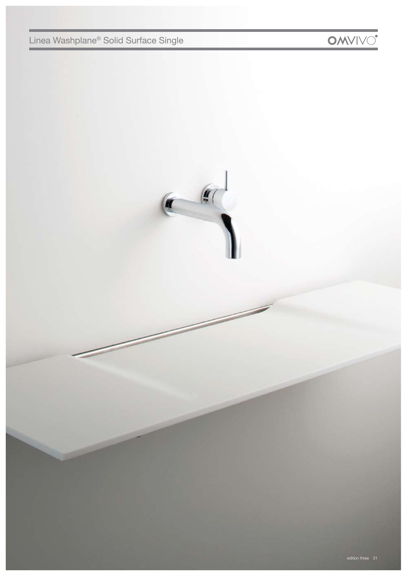# Linea Washplane® Solid Surface Single

 $\left( \begin{array}{cc} \bullet & \bullet \end{array} \right)$